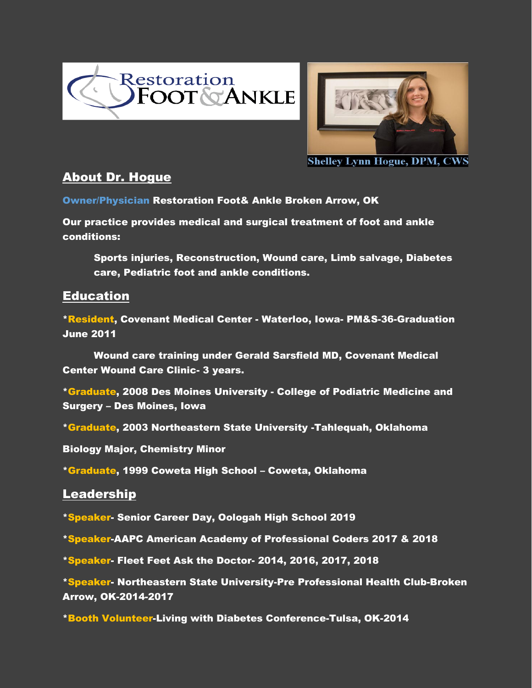



**Shelley Lynn Hogue, DPM, CWS** 

# About Dr. Hogue

Owner/Physician Restoration Foot& Ankle Broken Arrow, OK

Our practice provides medical and surgical treatment of foot and ankle conditions:

Sports injuries, Reconstruction, Wound care, Limb salvage, Diabetes care, Pediatric foot and ankle conditions.

# **Education**

\*Resident, Covenant Medical Center - Waterloo, Iowa- PM&S-36-Graduation June 2011

Wound care training under Gerald Sarsfield MD, Covenant Medical Center Wound Care Clinic- 3 years.

\*Graduate, 2008 Des Moines University - College of Podiatric Medicine and Surgery – Des Moines, Iowa

\*Graduate, 2003 Northeastern State University -Tahlequah, Oklahoma

Biology Major, Chemistry Minor

\*Graduate, 1999 Coweta High School – Coweta, Oklahoma

### Leadership

\*Speaker- Senior Career Day, Oologah High School 2019

\*Speaker-AAPC American Academy of Professional Coders 2017 & 2018

\*Speaker- Fleet Feet Ask the Doctor- 2014, 2016, 2017, 2018

\*Speaker- Northeastern State University-Pre Professional Health Club-Broken Arrow, OK-2014-2017

\*Booth Volunteer-Living with Diabetes Conference-Tulsa, OK-2014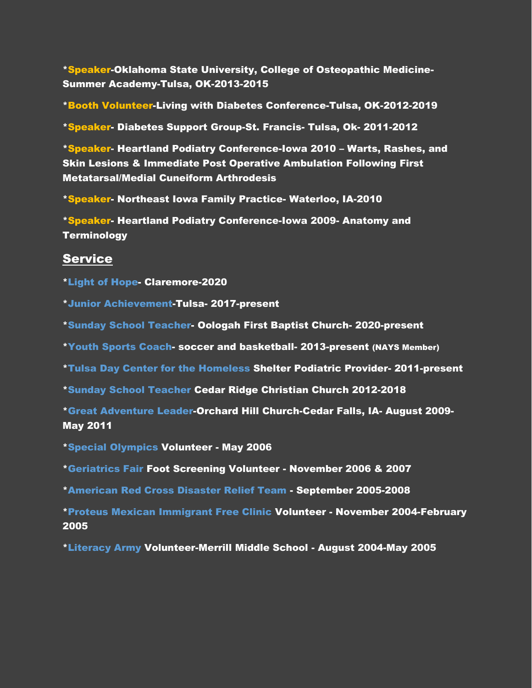\*Speaker-Oklahoma State University, College of Osteopathic Medicine-Summer Academy-Tulsa, OK-2013-2015

\*Booth Volunteer-Living with Diabetes Conference-Tulsa, OK-2012-2019

\*Speaker- Diabetes Support Group-St. Francis- Tulsa, Ok- 2011-2012

\*Speaker- Heartland Podiatry Conference-Iowa 2010 – Warts, Rashes, and Skin Lesions & Immediate Post Operative Ambulation Following First Metatarsal/Medial Cuneiform Arthrodesis

\*Speaker- Northeast Iowa Family Practice- Waterloo, IA-2010

\*Speaker- Heartland Podiatry Conference-Iowa 2009- Anatomy and **Terminology** 

#### **Service**

\*Light of Hope- Claremore-2020

\*Junior Achievement-Tulsa- 2017-present

\*Sunday School Teacher- Oologah First Baptist Church- 2020-present

\*Youth Sports Coach- soccer and basketball- 2013-present (NAYS Member)

\*Tulsa Day Center for the Homeless Shelter Podiatric Provider- 2011-present

\*Sunday School Teacher Cedar Ridge Christian Church 2012-2018

\*Great Adventure Leader-Orchard Hill Church-Cedar Falls, IA- August 2009- May 2011

\*Special Olympics Volunteer - May 2006

\*Geriatrics Fair Foot Screening Volunteer - November 2006 & 2007

\*American Red Cross Disaster Relief Team - September 2005-2008

\*Proteus Mexican Immigrant Free Clinic Volunteer - November 2004-February 2005

\*Literacy Army Volunteer-Merrill Middle School - August 2004-May 2005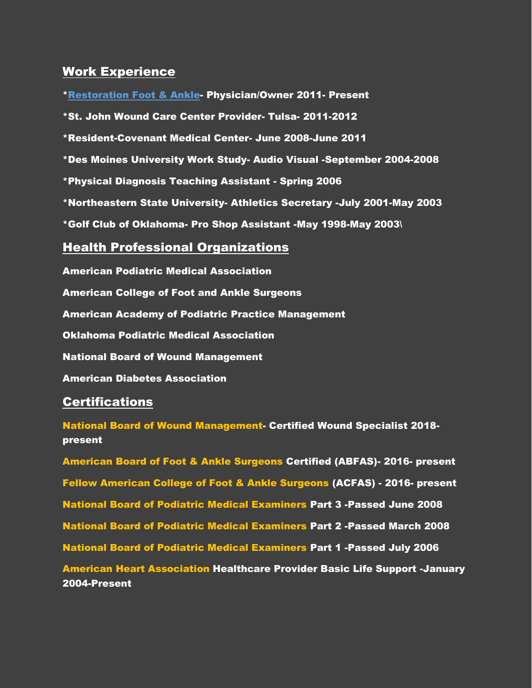# Work Experience

\*Restoration Foot & Ankle- Physician/Owner 2011- Present \*St. John Wound Care Center Provider- Tulsa- 2011-2012 \*Resident-Covenant Medical Center- June 2008-June 2011 \*Des Moines University Work Study- Audio Visual -September 2004-2008 \*Physical Diagnosis Teaching Assistant - Spring 2006 \*Northeastern State University- Athletics Secretary -July 2001-May 2003 \*Golf Club of Oklahoma- Pro Shop Assistant -May 1998-May 2003\

#### Health Professional Organizations

American Podiatric Medical Association American College of Foot and Ankle Surgeons American Academy of Podiatric Practice Management Oklahoma Podiatric Medical Association National Board of Wound Management American Diabetes Association

### **Certifications**

National Board of Wound Management- Certified Wound Specialist 2018 present

American Board of Foot & Ankle Surgeons Certified (ABFAS)- 2016- present Fellow American College of Foot & Ankle Surgeons (ACFAS) - 2016- present National Board of Podiatric Medical Examiners Part 3 -Passed June 2008 National Board of Podiatric Medical Examiners Part 2 -Passed March 2008 National Board of Podiatric Medical Examiners Part 1 -Passed July 2006 American Heart Association Healthcare Provider Basic Life Support -January 2004-Present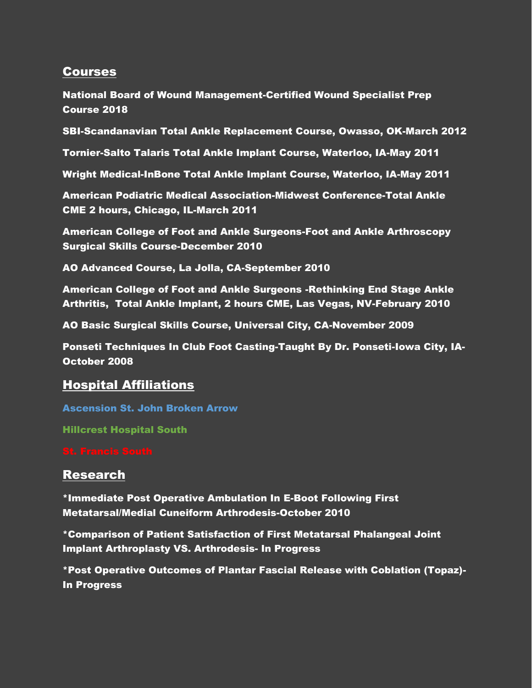# **Courses**

National Board of Wound Management-Certified Wound Specialist Prep Course 2018

SBI-Scandanavian Total Ankle Replacement Course, Owasso, OK-March 2012

Tornier-Salto Talaris Total Ankle Implant Course, Waterloo, IA-May 2011

Wright Medical-InBone Total Ankle Implant Course, Waterloo, IA-May 2011

American Podiatric Medical Association-Midwest Conference-Total Ankle CME 2 hours, Chicago, IL-March 2011

American College of Foot and Ankle Surgeons-Foot and Ankle Arthroscopy Surgical Skills Course-December 2010

AO Advanced Course, La Jolla, CA-September 2010

American College of Foot and Ankle Surgeons -Rethinking End Stage Ankle Arthritis, Total Ankle Implant, 2 hours CME, Las Vegas, NV-February 2010

AO Basic Surgical Skills Course, Universal City, CA-November 2009

Ponseti Techniques In Club Foot Casting-Taught By Dr. Ponseti-Iowa City, IA-October 2008

### Hospital Affiliations

Ascension St. John Broken Arrow

Hillcrest Hospital South

#### Research

\*Immediate Post Operative Ambulation In E-Boot Following First Metatarsal/Medial Cuneiform Arthrodesis-October 2010

\*Comparison of Patient Satisfaction of First Metatarsal Phalangeal Joint Implant Arthroplasty VS. Arthrodesis- In Progress

\*Post Operative Outcomes of Plantar Fascial Release with Coblation (Topaz)- In Progress